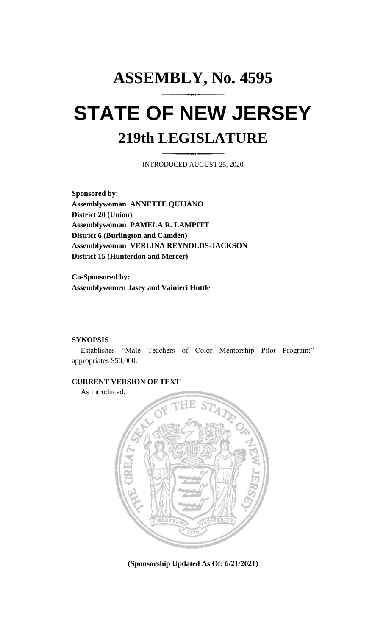## **ASSEMBLY, No. 4595 STATE OF NEW JERSEY 219th LEGISLATURE**

INTRODUCED AUGUST 25, 2020

**Sponsored by: Assemblywoman ANNETTE QUIJANO District 20 (Union) Assemblywoman PAMELA R. LAMPITT District 6 (Burlington and Camden) Assemblywoman VERLINA REYNOLDS-JACKSON District 15 (Hunterdon and Mercer)**

**Co-Sponsored by: Assemblywomen Jasey and Vainieri Huttle**

## **SYNOPSIS**

Establishes "Male Teachers of Color Mentorship Pilot Program;" appropriates \$50,000.

## **CURRENT VERSION OF TEXT**

As introduced.



**(Sponsorship Updated As Of: 6/21/2021)**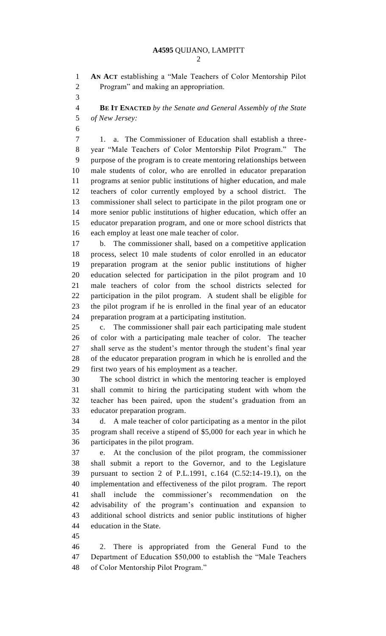**AN ACT** establishing a "Male Teachers of Color Mentorship Pilot Program" and making an appropriation.

 **BE IT ENACTED** *by the Senate and General Assembly of the State of New Jersey:*

 1. a. The Commissioner of Education shall establish a three- year "Male Teachers of Color Mentorship Pilot Program." The purpose of the program is to create mentoring relationships between male students of color, who are enrolled in educator preparation programs at senior public institutions of higher education, and male teachers of color currently employed by a school district. The commissioner shall select to participate in the pilot program one or more senior public institutions of higher education, which offer an educator preparation program, and one or more school districts that each employ at least one male teacher of color.

 b. The commissioner shall, based on a competitive application process, select 10 male students of color enrolled in an educator preparation program at the senior public institutions of higher education selected for participation in the pilot program and 10 male teachers of color from the school districts selected for participation in the pilot program. A student shall be eligible for the pilot program if he is enrolled in the final year of an educator preparation program at a participating institution.

 c. The commissioner shall pair each participating male student of color with a participating male teacher of color. The teacher shall serve as the student's mentor through the student's final year of the educator preparation program in which he is enrolled and the first two years of his employment as a teacher.

 The school district in which the mentoring teacher is employed shall commit to hiring the participating student with whom the teacher has been paired, upon the student's graduation from an educator preparation program.

 d. A male teacher of color participating as a mentor in the pilot program shall receive a stipend of \$5,000 for each year in which he participates in the pilot program.

 e. At the conclusion of the pilot program, the commissioner shall submit a report to the Governor, and to the Legislature pursuant to section 2 of P.L.1991, c.164 (C.52:14-19.1), on the implementation and effectiveness of the pilot program. The report shall include the commissioner's recommendation on the advisability of the program's continuation and expansion to additional school districts and senior public institutions of higher education in the State.

 2. There is appropriated from the General Fund to the Department of Education \$50,000 to establish the "Male Teachers of Color Mentorship Pilot Program."